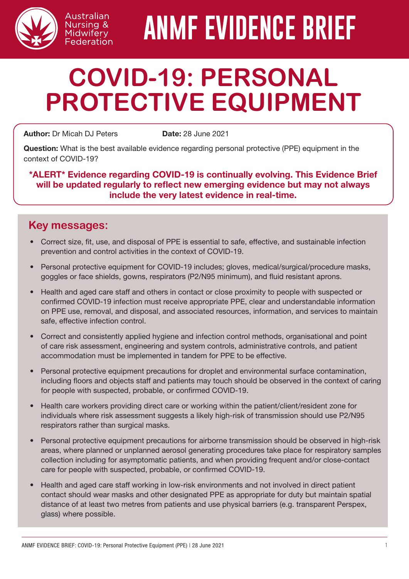

# **ANMF EVIDENCE BRIEF**

# **COVID-19: PERSONAL PROTECTIVE EQUIPMENT**

Author: Dr Micah DJ Peters Date: 28 June 2021

Australian Nursing & Midwifery Federation

Question: What is the best available evidence regarding personal protective (PPE) equipment in the context of COVID-19?

\*ALERT\* Evidence regarding COVID-19 is continually evolving. This Evidence Brief will be updated regularly to reflect new emerging evidence but may not always include the very latest evidence in real-time.

#### **Key messages:**

- Correct size, fit, use, and disposal of PPE is essential to safe, effective, and sustainable infection prevention and control activities in the context of COVID-19.
- Personal protective equipment for COVID-19 includes; gloves, medical/surgical/procedure masks, goggles or face shields, gowns, respirators (P2/N95 minimum), and fluid resistant aprons.
- Health and aged care staff and others in contact or close proximity to people with suspected or confirmed COVID-19 infection must receive appropriate PPE, clear and understandable information on PPE use, removal, and disposal, and associated resources, information, and services to maintain safe, effective infection control.
- Correct and consistently applied hygiene and infection control methods, organisational and point of care risk assessment, engineering and system controls, administrative controls, and patient accommodation must be implemented in tandem for PPE to be effective.
- Personal protective equipment precautions for droplet and environmental surface contamination, including floors and objects staff and patients may touch should be observed in the context of caring for people with suspected, probable, or confirmed COVID-19.
- Health care workers providing direct care or working within the patient/client/resident zone for individuals where risk assessment suggests a likely high-risk of transmission should use P2/N95 respirators rather than surgical masks.
- Personal protective equipment precautions for airborne transmission should be observed in high-risk areas, where planned or unplanned aerosol generating procedures take place for respiratory samples collection including for asymptomatic patients, and when providing frequent and/or close-contact care for people with suspected, probable, or confirmed COVID-19.
- Health and aged care staff working in low-risk environments and not involved in direct patient contact should wear masks and other designated PPE as appropriate for duty but maintain spatial distance of at least two metres from patients and use physical barriers (e.g. transparent Perspex, glass) where possible.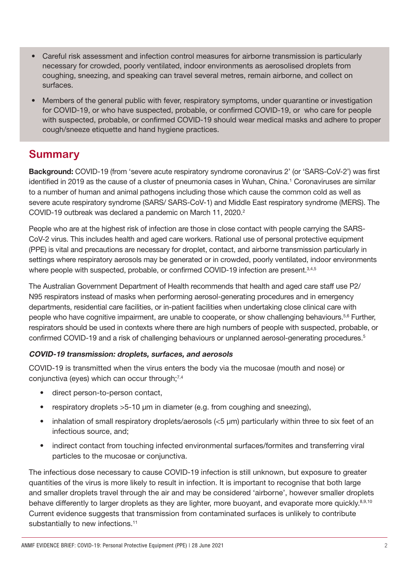- Careful risk assessment and infection control measures for airborne transmission is particularly necessary for crowded, poorly ventilated, indoor environments as aerosolised droplets from coughing, sneezing, and speaking can travel several metres, remain airborne, and collect on surfaces.
- Members of the general public with fever, respiratory symptoms, under quarantine or investigation for COVID-19, or who have suspected, probable, or confirmed COVID-19, or who care for people with suspected, probable, or confirmed COVID-19 should wear medical masks and adhere to proper cough/sneeze etiquette and hand hygiene practices.

### **Summary**

Background: COVID-19 (from 'severe acute respiratory syndrome coronavirus 2' (or 'SARS-CoV-2') was first identified in 2019 as the cause of a cluster of pneumonia cases in Wuhan, China.1 Coronaviruses are similar to a number of human and animal pathogens including those which cause the common cold as well as severe acute respiratory syndrome (SARS/ SARS-CoV-1) and Middle East respiratory syndrome (MERS). The COVID-19 outbreak was declared a pandemic on March 11, 2020.2

People who are at the highest risk of infection are those in close contact with people carrying the SARS-CoV-2 virus. This includes health and aged care workers. Rational use of personal protective equipment (PPE) is vital and precautions are necessary for droplet, contact, and airborne transmission particularly in settings where respiratory aerosols may be generated or in crowded, poorly ventilated, indoor environments where people with suspected, probable, or confirmed COVID-19 infection are present.<sup>3,4,5</sup>

The Australian Government Department of Health recommends that health and aged care staff use P2/ N95 respirators instead of masks when performing aerosol-generating procedures and in emergency departments, residential care facilities, or in-patient facilities when undertaking close clinical care with people who have cognitive impairment, are unable to cooperate, or show challenging behaviours.<sup>5,6</sup> Further, respirators should be used in contexts where there are high numbers of people with suspected, probable, or confirmed COVID-19 and a risk of challenging behaviours or unplanned aerosol-generating procedures.5

#### COVID-19 transmission: droplets, surfaces, and aerosols

COVID-19 is transmitted when the virus enters the body via the mucosae (mouth and nose) or conjunctiva (eyes) which can occur through;<sup>7,4</sup>

- direct person-to-person contact,
- respiratory droplets >5-10 μm in diameter (e.g. from coughing and sneezing),
- inhalation of small respiratory droplets/aerosols (<5 μm) particularly within three to six feet of an infectious source, and;
- indirect contact from touching infected environmental surfaces/formites and transferring viral particles to the mucosae or conjunctiva.

The infectious dose necessary to cause COVID-19 infection is still unknown, but exposure to greater quantities of the virus is more likely to result in infection. It is important to recognise that both large and smaller droplets travel through the air and may be considered 'airborne', however smaller droplets behave differently to larger droplets as they are lighter, more buoyant, and evaporate more quickly.<sup>8,9,10</sup> Current evidence suggests that transmission from contaminated surfaces is unlikely to contribute substantially to new infections.<sup>11</sup>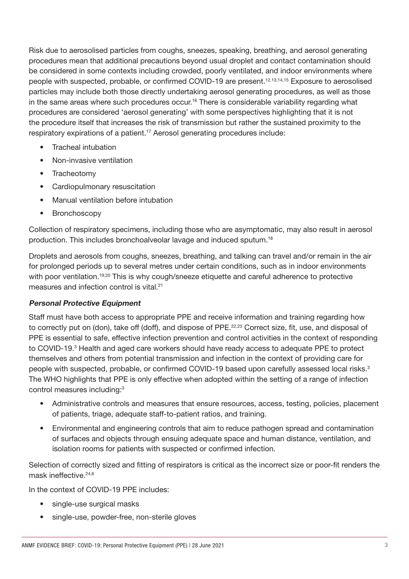Risk due to aerosolised particles from coughs, sneezes, speaking, breathing, and aerosol generating procedures mean that additional precautions beyond usual droplet and contact contamination should be considered in some contexts including crowded, poorly ventilated, and indoor environments where people with suspected, probable, or confirmed COVID-19 are present.<sup>12,13,14,15</sup> Exposure to aerosolised particles may include both those directly undertaking aerosol generating procedures, as well as those in the same areas where such procedures occur.<sup>16</sup> There is considerable variability regarding what procedures are considered 'aerosol generating' with some perspectives highlighting that it is not the procedure itself that increases the risk of transmission but rather the sustained proximity to the respiratory expirations of a patient.<sup>17</sup> Aerosol generating procedures include:

- Tracheal intubation
- Non-invasive ventilation
- Tracheotomy
- Cardiopulmonary resuscitation
- Manual ventilation before intubation
- Bronchoscopy

Collection of respiratory specimens, including those who are asymptomatic, may also result in aerosol production. This includes bronchoalveolar lavage and induced sputum.18

Droplets and aerosols from coughs, sneezes, breathing, and talking can travel and/or remain in the air for prolonged periods up to several metres under certain conditions, such as in indoor environments with poor ventilation.<sup>19,20</sup> This is why cough/sneeze etiquette and careful adherence to protective measures and infection control is vital.21

#### Personal Protective Equipment

Staff must have both access to appropriate PPE and receive information and training regarding how to correctly put on (don), take off (doff), and dispose of PPE.<sup>22,23</sup> Correct size, fit, use, and disposal of PPE is essential to safe, effective infection prevention and control activities in the context of responding to COVID-19.<sup>3</sup> Health and aged care workers should have ready access to adequate PPE to protect themselves and others from potential transmission and infection in the context of providing care for people with suspected, probable, or confirmed COVID-19 based upon carefully assessed local risks.<sup>3</sup> The WHO highlights that PPE is only effective when adopted within the setting of a range of infection control measures including:3

- Administrative controls and measures that ensure resources, access, testing, policies, placement of patients, triage, adequate staff-to-patient ratios, and training.
- Environmental and engineering controls that aim to reduce pathogen spread and contamination of surfaces and objects through ensuing adequate space and human distance, ventilation, and isolation rooms for patients with suspected or confirmed infection.

Selection of correctly sized and fitting of respirators is critical as the incorrect size or poor-fit renders the mask ineffective.24,6

In the context of COVID-19 PPE includes:

- single-use surgical masks
- single-use, powder-free, non-sterile gloves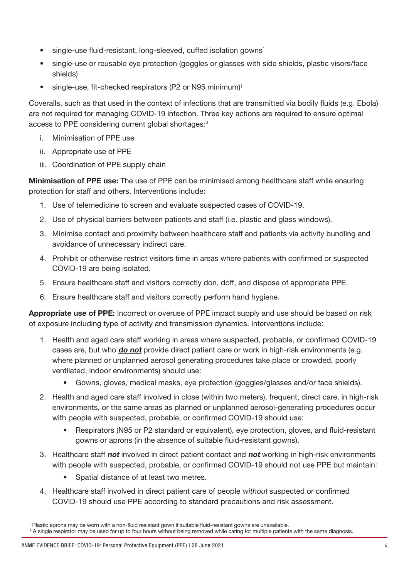- single-use fluid-resistant, long-sleeved, cuffed isolation gowns<sup>\*</sup>
- single-use or reusable eye protection (goggles or glasses with side shields, plastic visors/face shields)
- single-use, fit-checked respirators (P2 or N95 minimum)<sup>†</sup>

Coveralls, such as that used in the context of infections that are transmitted via bodily fluids (e.g. Ebola) are not required for managing COVID-19 infection. Three key actions are required to ensure optimal access to PPE considering current global shortages:3

- i. Minimisation of PPE use
- ii. Appropriate use of PPE
- iii. Coordination of PPE supply chain

**Minimisation of PPE use:** The use of PPE can be minimised among healthcare staff while ensuring protection for staff and others. Interventions include:

- 1. Use of telemedicine to screen and evaluate suspected cases of COVID-19.
- 2. Use of physical barriers between patients and staff (i.e. plastic and glass windows).
- 3. Minimise contact and proximity between healthcare staff and patients via activity bundling and avoidance of unnecessary indirect care.
- 4. Prohibit or otherwise restrict visitors time in areas where patients with confirmed or suspected COVID-19 are being isolated.
- 5. Ensure healthcare staff and visitors correctly don, doff, and dispose of appropriate PPE.
- 6. Ensure healthcare staff and visitors correctly perform hand hygiene.

Appropriate use of PPE: Incorrect or overuse of PPE impact supply and use should be based on risk of exposure including type of activity and transmission dynamics. Interventions include:

- 1. Health and aged care staff working in areas where suspected, probable, or confirmed COVID-19 cases are, but who **do not** provide direct patient care or work in high-risk environments (e.g. where planned or unplanned aerosol generating procedures take place or crowded, poorly ventilated, indoor environments) should use:
	- Gowns, gloves, medical masks, eye protection (goggles/glasses and/or face shields).
- 2. Health and aged care staff involved in close (within two meters), frequent, direct care, in high-risk environments, or the same areas as planned or unplanned aerosol-generating procedures occur with people with suspected, probable, or confirmed COVID-19 should use:
	- Respirators (N95 or P2 standard or equivalent), eve protection, gloves, and fluid-resistant gowns or aprons (in the absence of suitable fluid-resistant gowns).
- 3. Healthcare staff not involved in direct patient contact and not working in high-risk environments with people with suspected, probable, or confirmed COVID-19 should not use PPE but maintain:
	- Spatial distance of at least two metres.
- 4. Healthcare staff involved in direct patient care of people without suspected or confirmed COVID-19 should use PPE according to standard precautions and risk assessment.

<sup>\*</sup> Plastic aprons may be worn with a non-fluid resistant gown if suitable fluid-resistant gowns are unavailable.

<sup>†</sup> A single respirator may be used for up to four hours without being removed while caring for multiple patients with the same diagnosis.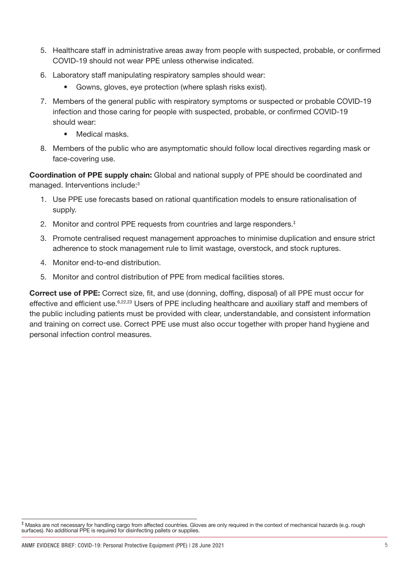- 5. Healthcare staff in administrative areas away from people with suspected, probable, or confirmed COVID-19 should not wear PPE unless otherwise indicated.
- 6. Laboratory staff manipulating respiratory samples should wear:
	- Gowns, gloves, eve protection (where splash risks exist).
- 7. Members of the general public with respiratory symptoms or suspected or probable COVID-19 infection and those caring for people with suspected, probable, or confirmed COVID-19 should wear:
	- Medical masks.
- 8. Members of the public who are asymptomatic should follow local directives regarding mask or face-covering use.

Coordination of PPE supply chain: Global and national supply of PPE should be coordinated and managed. Interventions include:3

- 1. Use PPE use forecasts based on rational quantification models to ensure rationalisation of supply.
- 2. Monitor and control PPE requests from countries and large responders.<sup>‡</sup>
- 3. Promote centralised request management approaches to minimise duplication and ensure strict adherence to stock management rule to limit wastage, overstock, and stock ruptures.
- 4. Monitor end-to-end distribution.
- 5. Monitor and control distribution of PPE from medical facilities stores.

Correct use of PPE: Correct size, fit, and use (donning, doffing, disposal) of all PPE must occur for effective and efficient use.<sup>6,22,23</sup> Users of PPE including healthcare and auxiliary staff and members of the public including patients must be provided with clear, understandable, and consistent information and training on correct use. Correct PPE use must also occur together with proper hand hygiene and personal infection control measures.

<sup>‡</sup> Masks are not necessary for handling cargo from affected countries. Gloves are only required in the context of mechanical hazards (e.g. rough surfaces). No additional PPE is required for disinfecting pallets or supplies.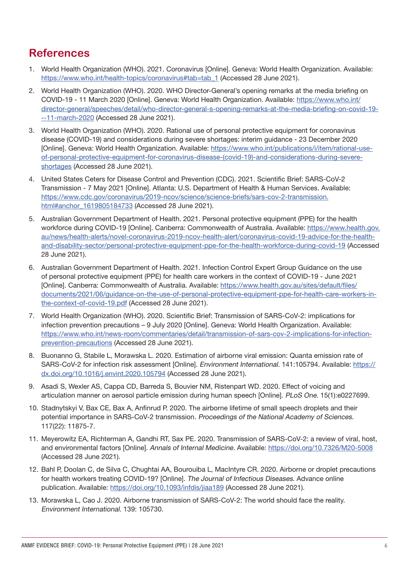## **References**

- 1. World Health Organization (WHO). 2021. Coronavirus [Online]. Geneva: World Health Organization. Available: [https://www.who.int/health-topics/coronavirus#tab=tab\\_1](https://www.who.int/health-topics/coronavirus#tab=tab_1) (Accessed 28 June 2021).
- 2. World Health Organization (WHO). 2020. WHO Director-General's opening remarks at the media briefing on COVID-19 - 11 March 2020 [Online]. Geneva: World Health Organization. Available: [https://www.who.int/](https://www.who.int/director-general/speeches/detail/who-director-general-s-opening-remarks-at-the-media-briefing-on-covid-19---11-march-2020) [director-general/speeches/detail/who-director-general-s-opening-remarks-at-the-media-briefing-on-covid-19-](https://www.who.int/director-general/speeches/detail/who-director-general-s-opening-remarks-at-the-media-briefing-on-covid-19---11-march-2020) [--11-march-2020](https://www.who.int/director-general/speeches/detail/who-director-general-s-opening-remarks-at-the-media-briefing-on-covid-19---11-march-2020) (Accessed 28 June 2021).
- 3. World Health Organization (WHO). 2020. Rational use of personal protective equipment for coronavirus disease (COVID-19) and considerations during severe shortages: interim guidance - 23 December 2020 [Online]. Geneva: World Health Organization. Available: [https://www.who.int/publications/i/item/rational-use](https://www.who.int/publications/i/item/rational-use-of-personal-protective-equipment-for-coronavirus-disease-(covid-19)-and-considerations-during-severe-shortages)[of-personal-protective-equipment-for-coronavirus-disease-\(covid-19\)-and-considerations-during-severe](https://www.who.int/publications/i/item/rational-use-of-personal-protective-equipment-for-coronavirus-disease-(covid-19)-and-considerations-during-severe-shortages)[shortages](https://www.who.int/publications/i/item/rational-use-of-personal-protective-equipment-for-coronavirus-disease-(covid-19)-and-considerations-during-severe-shortages) (Accessed 28 June 2021).
- 4. United States Ceters for Disease Control and Prevention (CDC). 2021. Scientific Brief: SARS-CoV-2 Transmission - 7 May 2021 [Online]. Atlanta: U.S. Department of Health & Human Services. Available: [https://www.cdc.gov/coronavirus/2019-ncov/science/science-briefs/sars-cov-2-transmission.](https://www.cdc.gov/coronavirus/2019-ncov/science/science-briefs/sars-cov-2-transmission.html#anchor_1619805184733) [html#anchor\\_1619805184733](https://www.cdc.gov/coronavirus/2019-ncov/science/science-briefs/sars-cov-2-transmission.html#anchor_1619805184733) (Accessed 28 June 2021).
- 5. Australian Government Department of Health. 2021. Personal protective equipment (PPE) for the health workforce during COVID-19 [Online]. Canberra: Commonwealth of Australia. Available: [https://www.health.gov.](https://www.health.gov.au/news/health-alerts/novel-coronavirus-2019-ncov-health-alert/coronavirus-covid-19-advice-for-the-health-and-disability-sector/personal-protective-equipment-ppe-for-the-health-workforce-during-covid-19) [au/news/health-alerts/novel-coronavirus-2019-ncov-health-alert/coronavirus-covid-19-advice-for-the-health](https://www.health.gov.au/news/health-alerts/novel-coronavirus-2019-ncov-health-alert/coronavirus-covid-19-advice-for-the-health-and-disability-sector/personal-protective-equipment-ppe-for-the-health-workforce-during-covid-19)[and-disability-sector/personal-protective-equipment-ppe-for-the-health-workforce-during-covid-19](https://www.health.gov.au/news/health-alerts/novel-coronavirus-2019-ncov-health-alert/coronavirus-covid-19-advice-for-the-health-and-disability-sector/personal-protective-equipment-ppe-for-the-health-workforce-during-covid-19) (Accessed 28 June 2021).
- 6. Australian Government Department of Health. 2021. Infection Control Expert Group Guidance on the use of personal protective equipment (PPE) for health care workers in the context of COVID-19 - June 2021 [Online]. Canberra: Commonwealth of Australia. Available: [https://www.health.gov.au/sites/default/files/](https://www.health.gov.au/sites/default/files/documents/2021/06/guidance-on-the-use-of-personal-protective-equipment-ppe-for-health-care-workers-in-the-context-of-covid-19.pdf) [documents/2021/06/guidance-on-the-use-of-personal-protective-equipment-ppe-for-health-care-workers-in](https://www.health.gov.au/sites/default/files/documents/2021/06/guidance-on-the-use-of-personal-protective-equipment-ppe-for-health-care-workers-in-the-context-of-covid-19.pdf)[the-context-of-covid-19.pdf](https://www.health.gov.au/sites/default/files/documents/2021/06/guidance-on-the-use-of-personal-protective-equipment-ppe-for-health-care-workers-in-the-context-of-covid-19.pdf) (Accessed 28 June 2021).
- 7. World Health Organization (WHO). 2020. Scientific Brief: Transmission of SARS-CoV-2: implications for infection prevention precautions – 9 July 2020 [Online]. Geneva: World Health Organization. Available: [https://www.who.int/news-room/commentaries/detail/transmission-of-sars-cov-2-implications-for-infection](https://www.who.int/news-room/commentaries/detail/transmission-of-sars-cov-2-implications-for-infection-prevention-precautions)[prevention-precautions](https://www.who.int/news-room/commentaries/detail/transmission-of-sars-cov-2-implications-for-infection-prevention-precautions) (Accessed 28 June 2021).
- 8. Buonanno G, Stabile L, Morawska L. 2020. Estimation of airborne viral emission: Quanta emission rate of SARS-CoV-2 for infection risk assessment [Online]. Environment International. 141:105794. Available: [https://](https://dx.doi.org/10.1016/j.envint.2020.105794) [dx.doi.org/10.1016/j.envint.2020.105794](https://dx.doi.org/10.1016/j.envint.2020.105794) (Accessed 28 June 2021).
- 9. Asadi S, Wexler AS, Cappa CD, Barreda S, Bouvier NM, Ristenpart WD. 2020. Effect of voicing and articulation manner on aerosol particle emission during human speech [Online]. PLoS One. 15(1):e0227699.
- 10. Stadnytskyi V, Bax CE, Bax A, Anfinrud P. 2020. The airborne lifetime of small speech droplets and their potential importance in SARS-CoV-2 transmission. Proceedings of the National Academy of Sciences. 117(22): 11875-7.
- 11. Meyerowitz EA, Richterman A, Gandhi RT, Sax PE. 2020. Transmission of SARS-CoV-2: a review of viral, host, and environmental factors [Online]. Annals of Internal Medicine. Available: <https://doi.org/10.7326/M20-5008> (Accessed 28 June 2021).
- 12. Bahl P, Doolan C, de Silva C, Chughtai AA, Bourouiba L, MacIntyre CR. 2020. Airborne or droplet precautions for health workers treating COVID-19? [Online]. The Journal of Infectious Diseases. Advance online publication. Available:<https://doi.org/10.1093/infdis/jiaa189>(Accessed 28 June 2021).
- 13. Morawska L, Cao J. 2020. Airborne transmission of SARS-CoV-2: The world should face the reality. Environment International. 139: 105730.